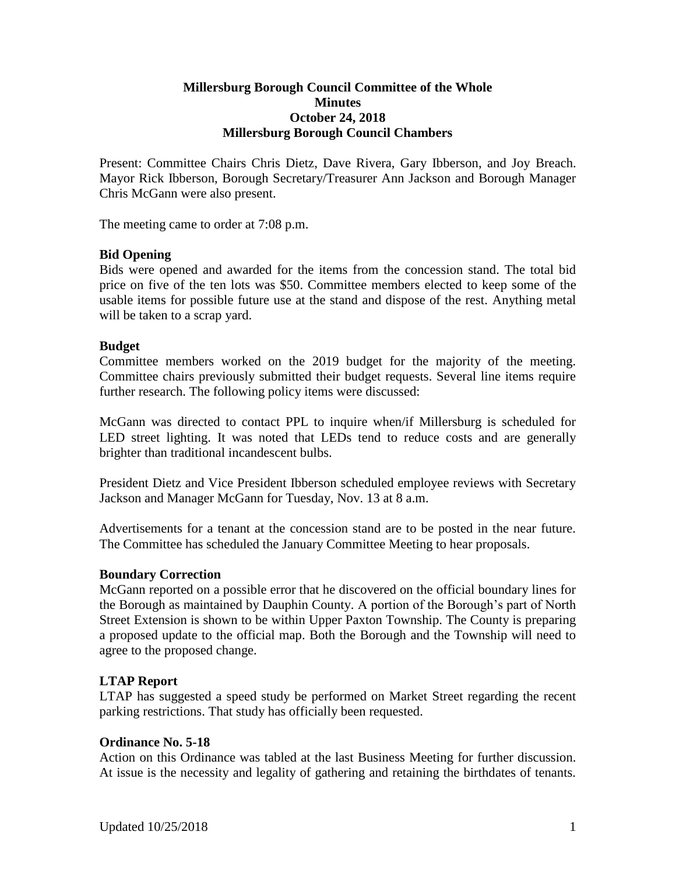## **Millersburg Borough Council Committee of the Whole Minutes October 24, 2018 Millersburg Borough Council Chambers**

Present: Committee Chairs Chris Dietz, Dave Rivera, Gary Ibberson, and Joy Breach. Mayor Rick Ibberson, Borough Secretary/Treasurer Ann Jackson and Borough Manager Chris McGann were also present.

The meeting came to order at 7:08 p.m.

### **Bid Opening**

Bids were opened and awarded for the items from the concession stand. The total bid price on five of the ten lots was \$50. Committee members elected to keep some of the usable items for possible future use at the stand and dispose of the rest. Anything metal will be taken to a scrap yard.

#### **Budget**

Committee members worked on the 2019 budget for the majority of the meeting. Committee chairs previously submitted their budget requests. Several line items require further research. The following policy items were discussed:

McGann was directed to contact PPL to inquire when/if Millersburg is scheduled for LED street lighting. It was noted that LEDs tend to reduce costs and are generally brighter than traditional incandescent bulbs.

President Dietz and Vice President Ibberson scheduled employee reviews with Secretary Jackson and Manager McGann for Tuesday, Nov. 13 at 8 a.m.

Advertisements for a tenant at the concession stand are to be posted in the near future. The Committee has scheduled the January Committee Meeting to hear proposals.

#### **Boundary Correction**

McGann reported on a possible error that he discovered on the official boundary lines for the Borough as maintained by Dauphin County. A portion of the Borough's part of North Street Extension is shown to be within Upper Paxton Township. The County is preparing a proposed update to the official map. Both the Borough and the Township will need to agree to the proposed change.

### **LTAP Report**

LTAP has suggested a speed study be performed on Market Street regarding the recent parking restrictions. That study has officially been requested.

#### **Ordinance No. 5-18**

Action on this Ordinance was tabled at the last Business Meeting for further discussion. At issue is the necessity and legality of gathering and retaining the birthdates of tenants.